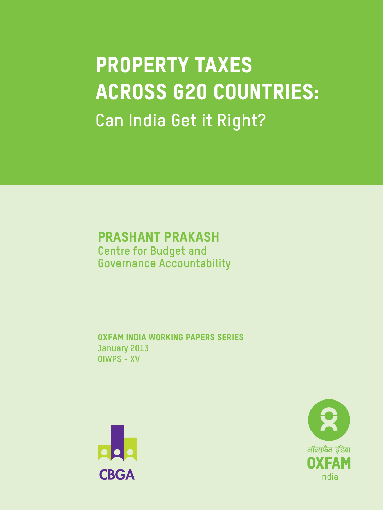# **PROPERTY TAXES ACROSS G20 COUNTRIES: Can India Get it Right?**

### **Prashant Prakash Centre for Budget and Governance Accountability**

**Oxfam India working papers series January 2013 OIWPS - XV**



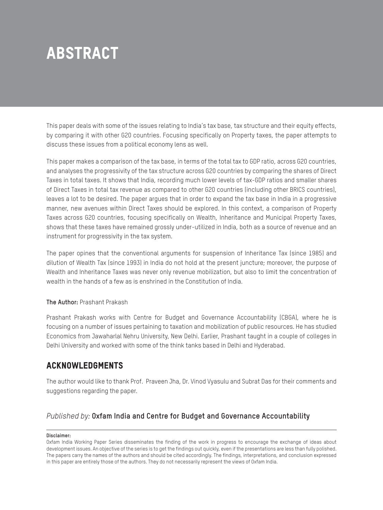# **Abstract**

This paper deals with some of the issues relating to India's tax base, tax structure and their equity effects, by comparing it with other G20 countries. Focusing specifically on Property taxes, the paper attempts to discuss these issues from a political economy lens as well.

This paper makes a comparison of the tax base, in terms of the total tax to GDP ratio, across G20 countries, and analyses the progressivity of the tax structure across G20 countries by comparing the shares of Direct Taxes in total taxes. It shows that India, recording much lower levels of tax-GDP ratios and smaller shares of Direct Taxes in total tax revenue as compared to other G20 countries (including other BRICS countries), leaves a lot to be desired. The paper argues that in order to expand the tax base in India in a progressive manner, new avenues within Direct Taxes should be explored. In this context, a comparison of Property Taxes across G20 countries, focusing specifically on Wealth, Inheritance and Municipal Property Taxes, shows that these taxes have remained grossly under-utilized in India, both as a source of revenue and an instrument for progressivity in the tax system.

The paper opines that the conventional arguments for suspension of Inheritance Tax (since 1985) and dilution of Wealth Tax (since 1993) in India do not hold at the present juncture; moreover, the purpose of Wealth and Inheritance Taxes was never only revenue mobilization, but also to limit the concentration of wealth in the hands of a few as is enshrined in the Constitution of India.

#### **The Author:** Prashant Prakash

Prashant Prakash works with Centre for Budget and Governance Accountability (CBGA), where he is focusing on a number of issues pertaining to taxation and mobilization of public resources. He has studied Economics from Jawaharlal Nehru University, New Delhi. Earlier, Prashant taught in a couple of colleges in Delhi University and worked with some of the think tanks based in Delhi and Hyderabad.

### **Acknowledgments**

The author would like to thank Prof. Praveen Jha, Dr. Vinod Vyasulu and Subrat Das for their comments and suggestions regarding the paper.

### *Published by:* **Oxfam India and Centre for Budget and Governance Accountability**

#### **Disclaimer:**

Oxfam India Working Paper Series disseminates the finding of the work in progress to encourage the exchange of ideas about development issues. An objective of the series is to get the findings out quickly, even if the presentations are less than fully polished. The papers carry the names of the authors and should be cited accordingly. The findings, interpretations, and conclusion expressed in this paper are entirely those of the authors. They do not necessarily represent the views of Oxfam India.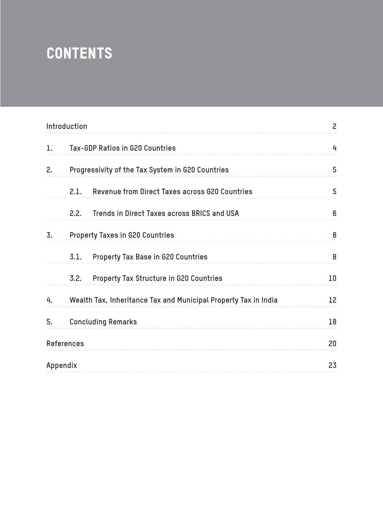# **Contents**

|    | Introduction      |                                                                 | $\overline{c}$ |
|----|-------------------|-----------------------------------------------------------------|----------------|
| 1. |                   | Tax-GDP Ratios in G20 Countries                                 | 4              |
| 2. |                   | Progressivity of the Tax System in G20 Countries                | 5              |
|    | 2.1.              | Revenue from Direct Taxes across G20 Countries                  | 5              |
|    | 2.2.              | Trends in Direct Taxes across BRICS and USA                     | 6              |
| 3. |                   | <b>Property Taxes in G20 Countries</b>                          | 8              |
|    |                   | 3.1. Property Tax Base in G20 Countries                         | 8              |
|    | 3.2.              | Property Tax Structure in G20 Countries                         | 10             |
| 4. |                   | Wealth Tax, Inheritance Tax and Municipal Property Tax in India | 12             |
| 5. |                   | <b>Concluding Remarks</b>                                       | 18             |
|    | <b>References</b> |                                                                 | 20             |
|    | Appendix          |                                                                 | 23             |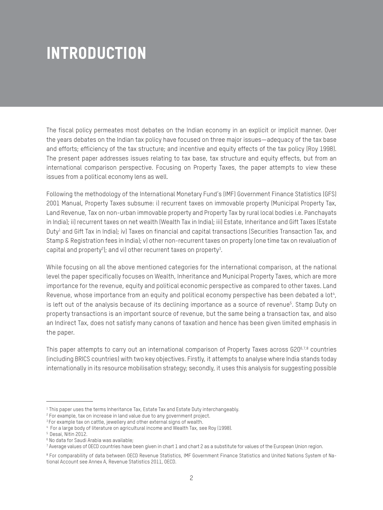# **Introduction**

The fiscal policy permeates most debates on the Indian economy in an explicit or implicit manner. Over the years debates on the Indian tax policy have focused on three major issues—adequacy of the tax base and efforts; efficiency of the tax structure; and incentive and equity effects of the tax policy (Roy 1998). The present paper addresses issues relating to tax base, tax structure and equity effects, but from an international comparison perspective. Focusing on Property Taxes, the paper attempts to view these issues from a political economy lens as well.

Following the methodology of the International Monetary Fund's (IMF) Government Finance Statistics (GFS) 2001 Manual, Property Taxes subsume: i) recurrent taxes on immovable property (Municipal Property Tax, Land Revenue, Tax on non-urban immovable property and Property Tax by rural local bodies i.e. Panchayats in India); ii) recurrent taxes on net wealth (Wealth Tax in India); iii) Estate, Inheritance and Gift Taxes (Estate Duty<sup>1</sup> and Gift Tax in India); iv) Taxes on financial and capital transactions (Securities Transaction Tax, and Stamp & Registration fees in India); v) other non-recurrent taxes on property (one time tax on revaluation of capital and property<sup>2</sup>); and vi) other recurrent taxes on property $^3$ .

While focusing on all the above mentioned categories for the international comparison, at the national level the paper specifically focuses on Wealth, Inheritance and Municipal Property Taxes, which are more importance for the revenue, equity and political economic perspective as compared to other taxes. Land Revenue, whose importance from an equity and political economy perspective has been debated a lot4,  $\,$ is left out of the analysis because of its declining importance as a source of revenue<sup>s</sup>. Stamp Duty on property transactions is an important source of revenue, but the same being a transaction tax, and also an Indirect Tax, does not satisfy many canons of taxation and hence has been given limited emphasis in the paper.

This paper attempts to carry out an international comparison of Property Taxes across G206,7,8 countries (including BRICS countries) with two key objectives. Firstly, it attempts to analyse where India stands today internationally in its resource mobilisation strategy; secondly, it uses this analysis for suggesting possible

 $^{\rm 1}$  This paper uses the terms Inheritance Tax, Estate Tax and Estate Duty interchangeably.

<sup>2</sup> For example, tax on increase in land value due to any government project.

<sup>&</sup>lt;sup>3</sup> For example tax on cattle, jewellery and other external signs of wealth.

<sup>4</sup> For a large body of literature on agricultural income and Wealth Tax, see Roy (1998).

<sup>5</sup> Desai, Nitin 2012.

<sup>6</sup> No data for Saudi Arabia was available;

<sup>7</sup> Average values of OECD countries have been given in chart 1 and chart 2 as a substitute for values of the European Union region.

<sup>8</sup> For comparability of data between OECD Revenue Statistics, IMF Government Finance Statistics and United Nations System of National Account see Annex A, Revenue Statistics 2011, OECD.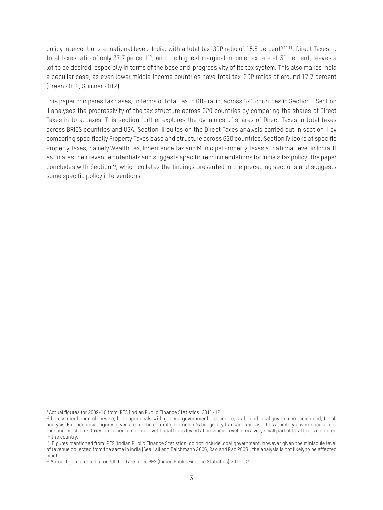policy interventions at national level. India, with a total tax-GDP ratio of 15.5 percent<sup>9,10,11</sup>, Direct Taxes to total taxes ratio of only 37.7 percent<sup>12</sup>, and the highest marginal income tax rate at 30 percent, leaves a lot to be desired, especially in terms of the base and progressivity of its tax system. This also makes India a peculiar case, as even lower middle income countries have total tax-GDP ratios of around 17.7 percent (Green 2012, Sumner 2012).

This paper compares tax bases, in terms of total tax to GDP ratio, across G20 countries in Section I. Section II analyses the progressivity of the tax structure across G20 countries by comparing the shares of Direct Taxes in total taxes. This section further explores the dynamics of shares of Direct Taxes in total taxes across BRICS countries and USA. Section III builds on the Direct Taxes analysis carried out in section II by comparing specifically Property Taxes base and structure across G20 countries. Section IV looks at specific Property Taxes, namely Wealth Tax, Inheritance Tax and Municipal Property Taxes at national level in India. It estimates their revenue potentials and suggests specific recommendations for India's tax policy. The paper concludes with Section V, which collates the findings presented in the preceding sections and suggests some specific policy interventions.

<sup>9</sup> Actual figures for 2009-10 from IPFS (Indian Public Finance Statistics) 2011-12

<sup>&</sup>lt;sup>10</sup> Unless mentioned otherwise, the paper deals with general government, i.e. centre, state and local government combined, for all analysis. For Indonesia, figures given are for the central government's budgetary transactions, as it has a unitary governance structure and most of its taxes are levied at central level. Local taxes levied at provincial level form a very small part of total taxes collected in the country.

<sup>&</sup>lt;sup>11</sup> Figures mentioned from IPFS (Indian Public Finance Statistics) do not include local government; however given the miniscule level of revenue collected from the same in India (See Lall and Deichmann 2006, Rao and Rao 2008), the analysis is not likely to be affected much.

<sup>&</sup>lt;sup>12</sup> Actual figures for India for 2009-10 are from IPFS (Indian Public Finance Statistics) 2011-12.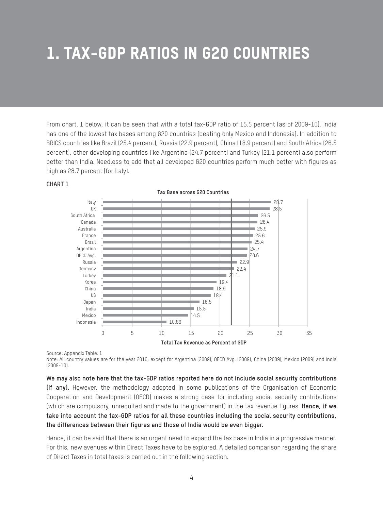# **1. Tax-GDP Ratios in G20 Countries**

From chart. 1 below, it can be seen that with a total tax-GDP ratio of 15.5 percent (as of 2009-10), India has one of the lowest tax bases among G20 countries (beating only Mexico and Indonesia). In addition to BRICS countries like Brazil (25.4 percent), Russia (22.9 percent), China (18.9 percent) and South Africa (26.5 percent), other developing countries like Argentina (24.7 percent) and Turkey (21.1 percent) also perform better than India. Needless to add that all developed G20 countries perform much better with figures as high as 28.7 percent (for Italy).



#### **CHART 1**

Source: Appendix Table. 1

Note: All country values are for the year 2010, except for Argentina (2009), OECD Avg. (2009), China (2009), Mexico (2009) and India (2009-10).

**We may also note here that the tax-GDP ratios reported here do not include social security contributions (if any).** However, the methodology adopted in some publications of the Organisation of Economic Cooperation and Development (OECD) makes a strong case for including social security contributions (which are compulsory, unrequited and made to the government) in the tax revenue figures. **Hence, if we take into account the tax-GDP ratios for all these countries including the social security contributions, the differences between their figures and those of India would be even bigger.**

Hence, it can be said that there is an urgent need to expand the tax base in India in a progressive manner. For this, new avenues within Direct Taxes have to be explored. A detailed comparison regarding the share of Direct Taxes in total taxes is carried out in the following section.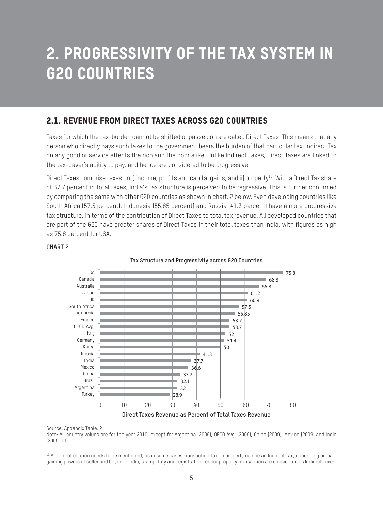## **2. Progressivity of the Tax System in G20 Countries**

### **2.1. Revenue from Direct Taxes across G20 Countries**

Taxes for which the tax-burden cannot be shifted or passed on are called Direct Taxes. This means that any person who directly pays such taxes to the government bears the burden of that particular tax. Indirect Tax on any good or service affects the rich and the poor alike. Unlike Indirect Taxes, Direct Taxes are linked to the tax-payer's ability to pay, and hence are considered to be progressive.

Direct Taxes comprise taxes on i) income, profits and capital gains, and ii) property<sup>13</sup>. With a Direct Tax share of 37.7 percent in total taxes, India's tax structure is perceived to be regressive. This is further confirmed by comparing the same with other G20 countries as shown in chart. 2 below. Even developing countries like South Africa (57.5 percent), Indonesia (55.85 percent) and Russia (41.3 percent) have a more progressive tax structure, in terms of the contribution of Direct Taxes to total tax revenue. All developed countries that are part of the G20 have greater shares of Direct Taxes in their total taxes than India, with figures as high as 75.8 percent for USA.



Source: Appendix Table. 2

**CHART 2**

Note: All country values are for the year 2010, except for Argentina (2009), OECD Avg. (2009), China (2009), Mexico (2009) and India (2009-10).

<sup>&</sup>lt;sup>13</sup> A point of caution needs to be mentioned, as in some cases transaction tax on property can be an Indirect Tax, depending on bargaining powers of seller and buyer. In India, stamp duty and registration fee for property transaction are considered as Indirect Taxes.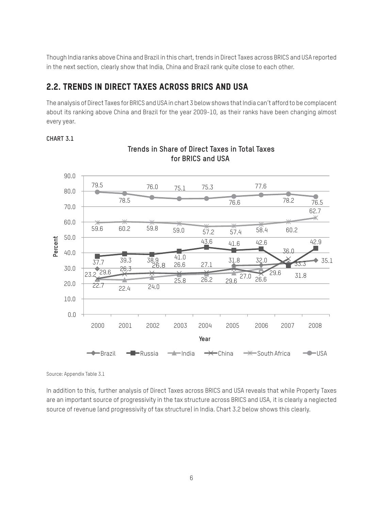Though India ranks above China and Brazil in this chart, trends in Direct Taxes across BRICS and USA reported in the next section, clearly show that India, China and Brazil rank quite close to each other.

### **2.2. Trends in Direct Taxes across BRICS and USA**

The analysis of Direct Taxes for BRICS and USA in chart 3 below shows that India can't afford to be complacent about its ranking above China and Brazil for the year 2009-10, as their ranks have been changing almost every year.

#### **CHART 3.1**



**Trends in Share of Direct Taxes in Total Taxes for BRICS and USA** 

Source: Appendix Table 3.1

In addition to this, further analysis of Direct Taxes across BRICS and USA reveals that while Property Taxes are an important source of progressivity in the tax structure across BRICS and USA, it is clearly a neglected source of revenue (and progressivity of tax structure) in India. Chart 3.2 below shows this clearly.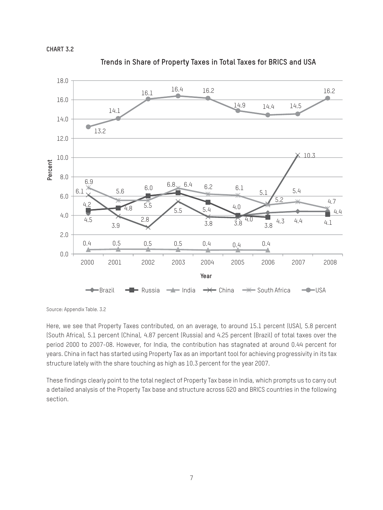



**Trends in Share of Property Taxes in Total Taxes for BRICS and USA** 

Source: Appendix Table. 3.2

Here, we see that Property Taxes contributed, on an average, to around 15.1 percent (USA), 5.8 percent (South Africa), 5.1 percent (China), 4.87 percent (Russia) and 4.25 percent (Brazil) of total taxes over the period 2000 to 2007-08. However, for India, the contribution has stagnated at around 0.44 percent for years. China in fact has started using Property Tax as an important tool for achieving progressivity in its tax structure lately with the share touching as high as 10.3 percent for the year 2007.

These findings clearly point to the total neglect of Property Tax base in India, which prompts us to carry out a detailed analysis of the Property Tax base and structure across G20 and BRICS countries in the following section.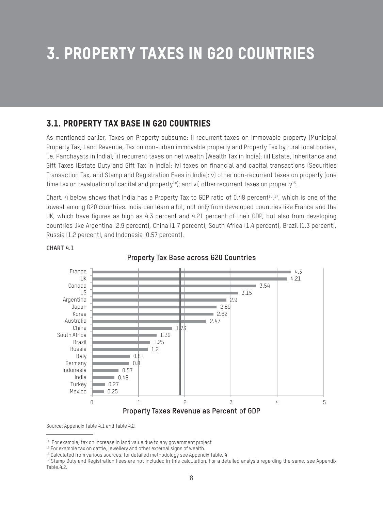# **3. Property Taxes in G20 Countries**

### **3.1. Property Tax Base in G20 Countries**

As mentioned earlier, Taxes on Property subsume: i) recurrent taxes on immovable property (Municipal Property Tax, Land Revenue, Tax on non-urban immovable property and Property Tax by rural local bodies, i.e. Panchayats in India); ii) recurrent taxes on net wealth (Wealth Tax in India); iii) Estate, Inheritance and Gift Taxes (Estate Duty and Gift Tax in India); iv) taxes on financial and capital transactions (Securities Transaction Tax, and Stamp and Registration Fees in India); v) other non-recurrent taxes on property (one time tax on revaluation of capital and property $14$ ); and vi) other recurrent taxes on property $15$ .

Chart. 4 below shows that India has a Property Tax to GDP ratio of 0.48 percent<sup>16</sup>,<sup>17</sup>, which is one of the lowest among G20 countries. India can learn a lot, not only from developed countries like France and the UK, which have figures as high as 4.3 percent and 4.21 percent of their GDP, but also from developing countries like Argentina (2.9 percent), China (1.7 percent), South Africa (1.4 percent), Brazil (1.3 percent), Russia (1.2 percent), and Indonesia (0.57 percent).



#### **CHART 4.1**

**Property Tax Base across G20 Countries**

Source: Appendix Table 4.1 and Table 4.2

<sup>&</sup>lt;sup>14</sup> For example, tax on increase in land value due to any government project

<sup>&</sup>lt;sup>15</sup> For example tax on cattle, jewellery and other external signs of wealth.

<sup>16</sup> Calculated from various sources, for detailed methodology see Appendix Table. 4

<sup>&</sup>lt;sup>17</sup> Stamp Duty and Registration Fees are not included in this calculation. For a detailed analysis regarding the same, see Appendix Table.4.2.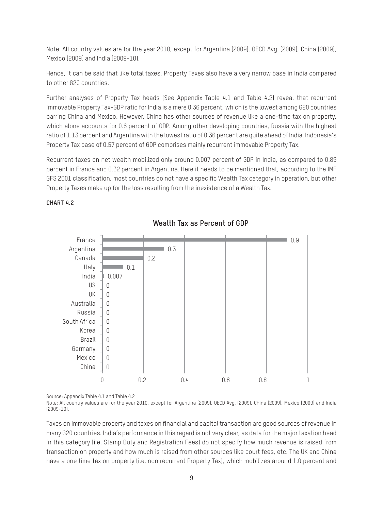Note: All country values are for the year 2010, except for Argentina (2009), OECD Avg. (2009), China (2009), Mexico (2009) and India (2009-10).

Hence, it can be said that like total taxes, Property Taxes also have a very narrow base in India compared to other G20 countries.

Further analyses of Property Tax heads (See Appendix Table 4.1 and Table 4.2) reveal that recurrent immovable Property Tax-GDP ratio for India is a mere 0.36 percent, which is the lowest among G20 countries barring China and Mexico. However, China has other sources of revenue like a one-time tax on property, which alone accounts for 0.6 percent of GDP. Among other developing countries, Russia with the highest ratio of 1.13 percent and Argentina with the lowest ratio of 0.36 percent are quite ahead of India. Indonesia's Property Tax base of 0.57 percent of GDP comprises mainly recurrent immovable Property Tax.

Recurrent taxes on net wealth mobilized only around 0.007 percent of GDP in India, as compared to 0.89 percent in France and 0.32 percent in Argentina. Here it needs to be mentioned that, according to the IMF GFS 2001 classification, most countries do not have a specific Wealth Tax category in operation, but other Property Taxes make up for the loss resulting from the inexistence of a Wealth Tax.

#### **CHART 4.2**



**Wealth Tax as Percent of GDP**

Source: Appendix Table 4.1 and Table 4.2

Note: All country values are for the year 2010, except for Argentina (2009), OECD Avg. (2009), China (2009), Mexico (2009) and India (2009-10).

Taxes on immovable property and taxes on financial and capital transaction are good sources of revenue in many G20 countries. India's performance in this regard is not very clear, as data for the major taxation head in this category (i.e. Stamp Duty and Registration Fees) do not specify how much revenue is raised from transaction on property and how much is raised from other sources like court fees, etc. The UK and China have a one time tax on property (i.e. non recurrent Property Tax), which mobilizes around 1.0 percent and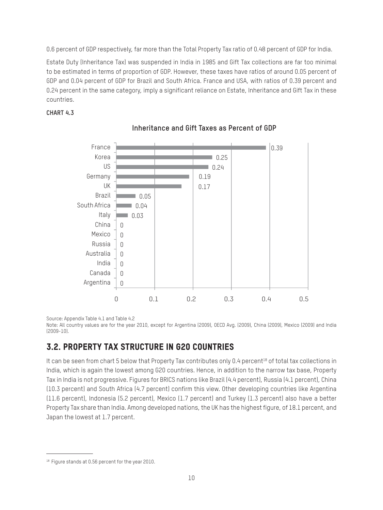0.6 percent of GDP respectively, far more than the Total Property Tax ratio of 0.48 percent of GDP for India.

Estate Duty (Inheritance Tax) was suspended in India in 1985 and Gift Tax collections are far too minimal to be estimated in terms of proportion of GDP. However, these taxes have ratios of around 0.05 percent of GDP and 0.04 percent of GDP for Brazil and South Africa. France and USA, with ratios of 0.39 percent and 0.24 percent in the same category, imply a significant reliance on Estate, Inheritance and Gift Tax in these countries.

#### **CHART 4.3**



### **Inheritance and Gift Taxes as Percent of GDP**

Source: Appendix Table 4.1 and Table 4.2

Note: All country values are for the year 2010, except for Argentina (2009), OECD Avg. (2009), China (2009), Mexico (2009) and India (2009-10).

### **3.2. Property Tax Structure in G20 Countries**

It can be seen from chart 5 below that Property Tax contributes only 0.4 percent<sup>18</sup> of total tax collections in India, which is again the lowest among G20 countries. Hence, in addition to the narrow tax base, Property Tax in India is not progressive. Figures for BRICS nations like Brazil (4.4 percent), Russia (4.1 percent), China (10.3 percent) and South Africa (4.7 percent) confirm this view. Other developing countries like Argentina (11.6 percent), Indonesia (5.2 percent), Mexico (1.7 percent) and Turkey (1.3 percent) also have a better Property Tax share than India. Among developed nations, the UK has the highest figure, of 18.1 percent, and Japan the lowest at 1.7 percent.

<sup>18</sup> Figure stands at 0.56 percent for the year 2010.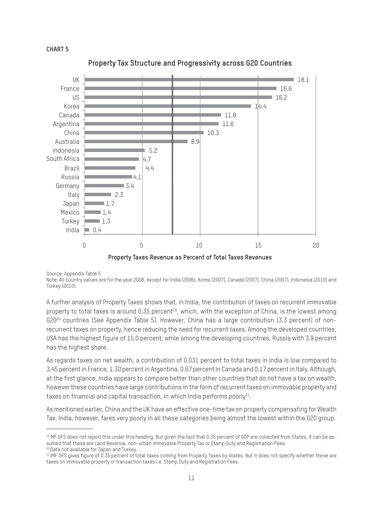



**Property Tax Structure and Progressivity across G20 Countries**

Source: Appendix Table 5

Note: All country values are for the year 2008, except for India (2006), Korea (2007), Canada (2007), China (2007), Indonesia (2010) and Turkey (2010).

A further analysis of Property Taxes shows that, in India, the contribution of taxes on recurrent immovable property to total taxes is around 0.35 percent<sup>19</sup>, which, with the exception of China, is the lowest among G2020 countries (See Appendix Table 5). However, China has a large contribution (3.3 percent) of nonrecurrent taxes on property, hence reducing the need for recurrent taxes. Among the developed countries, USA has the highest figure of 15.0 percent; while among the developing countries, Russia with 3.9 percent has the highest share.

As regards taxes on net wealth, a contribution of 0.031 percent to total taxes in India is low compared to 3.45 percent in France, 1.30 percent in Argentina, 0.67 percent in Canada and 0.17 percent in Italy. Although, at the first glance, India appears to compare better than other countries that do not have a tax on wealth, however these countries have large contributions in the form of recurrent taxes on immovable property and taxes on financial and capital transaction, in which India performs poorly $21$ .

As mentioned earlier, China and the UK have an effective one-time tax on property compensating for Wealth Tax. India, however, fares very poorly in all these categories being almost the lowest within the G20 group.

<sup>&</sup>lt;sup>19</sup> MF GFS does not report this under this heading. But given the fact that 0.35 percent of GDP are collected from States, it can be assumed that these are Land Revenue, non-urban immovable Property Tax or Stamp Duty and Registration Fees. 20 Data not available for Japan and Turkey.

<sup>&</sup>lt;sup>21</sup> IMF GFS gives figure of 0.35 percent of total taxes coming from Property Taxes by states. But it does not specify whether these are taxes on immovable property or transaction taxes i.e. Stamp Duty and Registration Fees.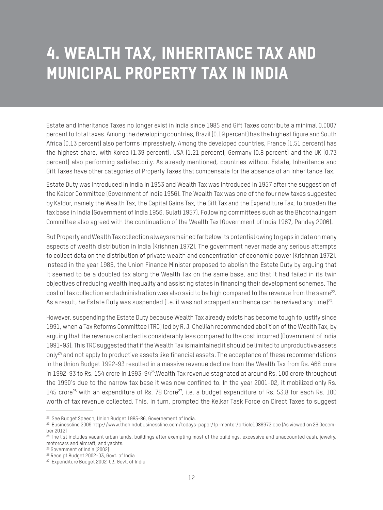## **4. Wealth Tax, Inheritance Tax and Municipal Property Tax in India**

Estate and Inheritance Taxes no longer exist in India since 1985 and Gift Taxes contribute a minimal 0.0007 percent to total taxes. Among the developing countries, Brazil (0.19 percent) has the highest figure and South Africa (0.13 percent) also performs impressively. Among the developed countries, France (1.51 percent) has the highest share, with Korea (1.39 percent), USA (1.21 percent), Germany (0.8 percent) and the UK (0.73 percent) also performing satisfactorily. As already mentioned, countries without Estate, Inheritance and Gift Taxes have other categories of Property Taxes that compensate for the absence of an Inheritance Tax.

Estate Duty was introduced in India in 1953 and Wealth Tax was introduced in 1957 after the suggestion of the Kaldor Committee (Government of India 1956). The Wealth Tax was one of the four new taxes suggested by Kaldor, namely the Wealth Tax, the Capital Gains Tax, the Gift Tax and the Expenditure Tax, to broaden the tax base in India (Government of India 1956, Gulati 1957). Following committees such as the Bhoothalingam Committee also agreed with the continuation of the Wealth Tax (Government of India 1967, Pandey 2006).

But Property and Wealth Tax collection always remained far below its potential owing to gaps in data on many aspects of wealth distribution in India (Krishnan 1972). The government never made any serious attempts to collect data on the distribution of private wealth and concentration of economic power (Krishnan 1972). Instead in the year 1985, the Union Finance Minister proposed to abolish the Estate Duty by arguing that it seemed to be a doubled tax along the Wealth Tax on the same base, and that it had failed in its twin objectives of reducing wealth inequality and assisting states in financing their development schemes. The cost of tax collection and administration was also said to be high compared to the revenue from the same<sup>22</sup>. As a result, he Estate Duty was suspended (i.e. it was not scrapped and hence can be revived any time)<sup>23</sup>.

However, suspending the Estate Duty because Wealth Tax already exists has become tough to justify since 1991, when a Tax Reforms Committee (TRC) led by R. J. Chelliah recommended abolition of the Wealth Tax, by arguing that the revenue collected is considerably less compared to the cost incurred (Government of India 1991-93). This TRC suggested that if the Wealth Tax is maintained it should be limited to unproductive assets only<sup>24</sup> and not apply to productive assets like financial assets. The acceptance of these recommendations in the Union Budget 1992-93 resulted in a massive revenue decline from the Wealth Tax from Rs. 468 crore in 1992-93 to Rs. 154 crore in 1993-94<sup>25</sup>. Wealth Tax revenue stagnated at around Rs. 100 crore throughout the 1990's due to the narrow tax base it was now confined to. In the year 2001-02, it mobilized only Rs. 145 crore<sup>26</sup> with an expenditure of Rs. 78 Crore<sup>27</sup>, i.e. a budget expenditure of Rs. 53.8 for each Rs. 100 worth of tax revenue collected. This, in turn, prompted the Kelkar Task Force on Direct Taxes to suggest

<sup>&</sup>lt;sup>22</sup> See Budget Speech, Union Budget 1985-86, Governement of India.

<sup>23</sup> Businessline 2009 http://www.thehindubusinessline.com/todays-paper/tp-mentor/article1086972.ece (As viewed on 26 December 2012)

<sup>&</sup>lt;sup>24</sup> The list includes vacant urban lands, buildings after exempting most of the buildings, excessive and unaccounted cash, jewelry, motorcars and aircraft, and yachts.

<sup>25</sup> Government of India (2002)

<sup>26</sup> Receipt Budget 2002-03, Govt. of India

<sup>27</sup> Expenditure Budget 2002-03, Govt. of India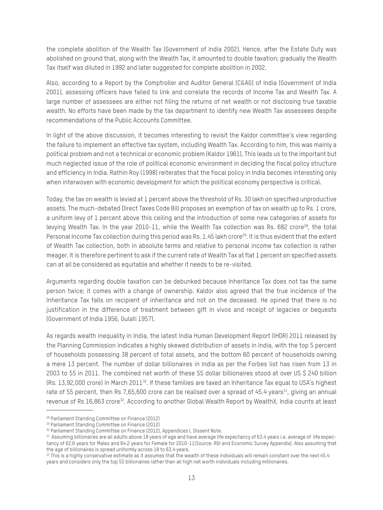the complete abolition of the Wealth Tax (Government of India 2002). Hence, after the Estate Duty was abolished on ground that, along with the Wealth Tax, it amounted to double taxation; gradually the Wealth Tax itself was diluted in 1992 and later suggested for complete abolition in 2002.

Also, according to a Report by the Comptroller and Auditor General (C&AG) of India (Government of India 2001), assessing officers have failed to link and correlate the records of Income Tax and Wealth Tax. A large number of assessees are either not filing the returns of net wealth or not disclosing true taxable wealth. No efforts have been made by the tax department to identify new Wealth Tax assessees despite recommendations of the Public Accounts Committee.

In light of the above discussion, it becomes interesting to revisit the Kaldor committee's view regarding the failure to implement an effective tax system, including Wealth Tax. According to him, this was mainly a political problem and not a technical or economic problem (Kaldor 1961). This leads us to the important but much neglected issue of the role of political economic environment in deciding the fiscal policy structure and efficiency in India. Rathin Roy (1998) reiterates that the fiscal policy in India becomes interesting only when interwoven with economic development for which the political economy perspective is critical.

Today, the tax on wealth is levied at 1 percent above the threshold of Rs. 30 lakh on specified unproductive assets. The much-debated Direct Taxes Code Bill proposes an exemption of tax on wealth up to Rs. 1 crore, a uniform levy of 1 percent above this ceiling and the introduction of some new categories of assets for levying Wealth Tax. In the year 2010-11, while the Wealth Tax collection was Rs. 682 crore<sup>28</sup>, the total Personal Income Tax collection during this period was Rs. 1.45 lakh crore<sup>29</sup>. It is thus evident that the extent of Wealth Tax collection, both in absolute terms and relative to personal income tax collection is rather meager. It is therefore pertinent to ask if the current rate of Wealth Tax at flat 1 percent on specified assets can at all be considered as equitable and whether it needs to be re-visited.

Arguments regarding double taxation can be debunked because Inheritance Tax does not tax the same person twice; it comes with a change of ownership. Kaldor also agreed that the true incidence of the Inheritance Tax falls on recipient of inheritance and not on the deceased. He opined that there is no justification in the difference of treatment between gift in vivos and receipt of legacies or bequests (Government of India 1956, Gulati 1957).

As regards wealth inequality in India, the latest India Human Development Report (IHDR) 2011 released by the Planning Commission indicates a highly skewed distribution of assets in India, with the top 5 percent of households possessing 38 percent of total assets, and the bottom 60 percent of households owning a mere 13 percent. The number of dollar billionaires in India as per the Forbes list has risen from 13 in 2003 to 55 in 2011. The combined net worth of these 55 dollar billionaires stood at over US \$ 240 billion (Rs. 13,92,000 crore) in March 201130. If these families are taxed an Inheritance Tax equal to USA's highest rate of 55 percent, then Rs 7,65,600 crore can be realised over a spread of 45.4 years<sup>31</sup>, giving an annual revenue of Rs 16,863 crore<sup>32</sup>. According to another Global Wealth Report by WealthX, India counts at least

<sup>28</sup> Parliament Standing Committee on Finance (2012)

<sup>29</sup> Parliament Standing Committee on Finance (2012)

<sup>30</sup> Parliament Standing Committee on Finance (2012), Appendices I, Dissent Note.

<sup>31</sup> Assuming billionaires are all adults above 18 years of age and have average life expectancy of 63.4 years i.e. average of life expectancy of 62.6 years for Males and 64.2 years for Female for 2010-11(Source: RGI and Economic Survey Appendix). Also assuming that the age of billionaires is spread uniformly across 18 to 63.4 years.

<sup>32</sup> This is a highly conservative estimate as it assumes that the wealth of these individuals will remain constant over the next 45.4 years and considers only the top 55 billionaires rather than all high net worth individuals including millionaires.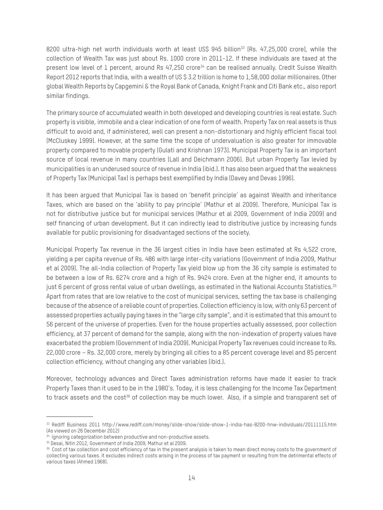8200 ultra-high net worth individuals worth at least US\$ 945 billion<sup>33</sup> (Rs. 47,25,000 crore), while the collection of Wealth Tax was just about Rs. 1000 crore in 2011-12. If these individuals are taxed at the present low level of 1 percent, around Rs 47,250 crore<sup>34</sup> can be realised annually. Credit Suisse Wealth Report 2012 reports that India, with a wealth of US \$ 3.2 trillion is home to 1,58,000 dollar millionaires. Other global Wealth Reports by Capgemini & the Royal Bank of Canada, Knight Frank and Citi Bank etc., also report similar findings.

The primary source of accumulated wealth in both developed and developing countries is real estate. Such property is visible, immobile and a clear indication of one form of wealth. Property Tax on real assets is thus difficult to avoid and, if administered, well can present a non-distortionary and highly efficient fiscal tool (McCluskey 1999). However, at the same time the scope of undervaluation is also greater for immovable property compared to movable property (Gulati and Krishnan 1973). Municipal Property Tax is an important source of local revenue in many countries (Lall and Deichmann 2006). But urban Property Tax levied by municipalities is an underused source of revenue in India (ibid.). It has also been argued that the weakness of Property Tax (Municipal Tax) is perhaps best exemplified by India (Davey and Devas 1996).

It has been argued that Municipal Tax is based on 'benefit principle' as against Wealth and Inheritance Taxes, which are based on the 'ability to pay principle' (Mathur et al 2009). Therefore, Municipal Tax is not for distributive justice but for municipal services (Mathur et al 2009, Government of India 2009) and self financing of urban development. But it can indirectly lead to distributive justice by increasing funds available for public provisioning for disadvantaged sections of the society.

Municipal Property Tax revenue in the 36 largest cities in India have been estimated at Rs 4,522 crore, yielding a per capita revenue of Rs. 486 with large inter-city variations (Government of India 2009, Mathur et al 2009). The all-India collection of Property Tax yield blow up from the 36 city sample is estimated to be between a low of Rs. 6274 crore and a high of Rs. 9424 crore. Even at the higher end, it amounts to just 6 percent of gross rental value of urban dwellings, as estimated in the National Accounts Statistics.<sup>35</sup> Apart from rates that are low relative to the cost of municipal services, setting the tax base is challenging because of the absence of a reliable count of properties. Collection efficiency is low, with only 63 percent of assessed properties actually paying taxes in the "large city sample", and it is estimated that this amount to 56 percent of the universe of properties. Even for the house properties actually assessed, poor collection efficiency, at 37 percent of demand for the sample, along with the non-indexation of property values have exacerbated the problem (Government of India 2009). Municipal Property Tax revenues could increase to Rs. 22,000 crore – Rs. 32,000 crore, merely by bringing all cities to a 85 percent coverage level and 85 percent collection efficiency, without changing any other variables (ibid.).

Moreover, technology advances and Direct Taxes administration reforms have made it easier to track Property Taxes than it used to be in the 1980's. Today, it is less challenging for the Income Tax Department to track assets and the cost<sup>36</sup> of collection may be much lower. Also, if a simple and transparent set of

<sup>33</sup> Rediff Business 2011 http://www.rediff.com/money/slide-show/slide-show-1-india-has-8200-hnw-individuals/20111115.htm (As viewed on 26 December 2012)

 $34$  Ignoring categorization between productive and non-productive assets.

<sup>35</sup> Desai, Nitin 2012, Government of India 2009, Mathur et al 2009.

 $36$  Cost of tax collection and cost efficiency of tax in the present analysis is taken to mean direct money costs to the government of collecting various taxes. It excludes indirect costs arising in the process of tax payment or resulting from the detrimental effects of various taxes (Ahmed 1968).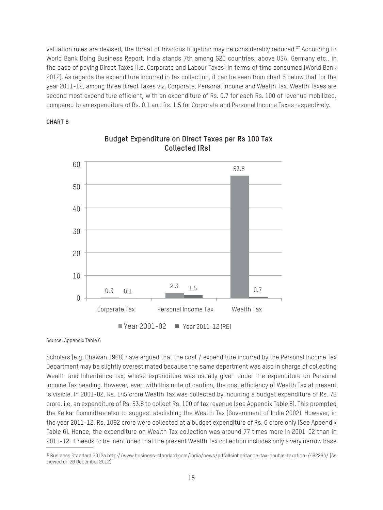valuation rules are devised, the threat of frivolous litigation may be considerably reduced.<sup>37</sup> According to World Bank Doing Business Report, India stands 7th among G20 countries, above USA, Germany etc., in the ease of paying Direct Taxes (i.e. Corporate and Labour Taxes) in terms of time consumed (World Bank 2012). As regards the expenditure incurred in tax collection, it can be seen from chart 6 below that for the year 2011-12, among three Direct Taxes viz. Corporate, Personal Income and Wealth Tax, Wealth Taxes are second most expenditure efficient, with an expenditure of Rs. 0.7 for each Rs. 100 of revenue mobilized, compared to an expenditure of Rs. 0.1 and Rs. 1.5 for Corporate and Personal Income Taxes respectively.

#### **CHART 6**



### **Budget Expenditure on Direct Taxes per Rs 100 Tax Collected (Rs)**

Source: Appendix Table 6

Scholars (e.g. Dhawan 1968) have argued that the cost / expenditure incurred by the Personal Income Tax Department may be slightly overestimated because the same department was also in charge of collecting Wealth and Inheritance tax, whose expenditure was usually given under the expenditure on Personal Income Tax heading. However, even with this note of caution, the cost efficiency of Wealth Tax at present is visible. In 2001-02, Rs. 145 crore Wealth Tax was collected by incurring a budget expenditure of Rs. 78 crore, i.e. an expenditure of Rs. 53.8 to collect Rs. 100 of tax revenue (see Appendix Table 6). This prompted the Kelkar Committee also to suggest abolishing the Wealth Tax (Government of India 2002). However, in the year 2011-12, Rs. 1092 crore were collected at a budget expenditure of Rs. 6 crore only (See Appendix Table 6). Hence, the expenditure on Wealth Tax collection was around 77 times more in 2001-02 than in 2011-12. It needs to be mentioned that the present Wealth Tax collection includes only a very narrow base

<sup>37</sup> Business Standard 2012a http://www.business-standard.com/india/news/pitfallsinheritance-tax-double-taxation-/492294/ (As viewed on 26 December 2012)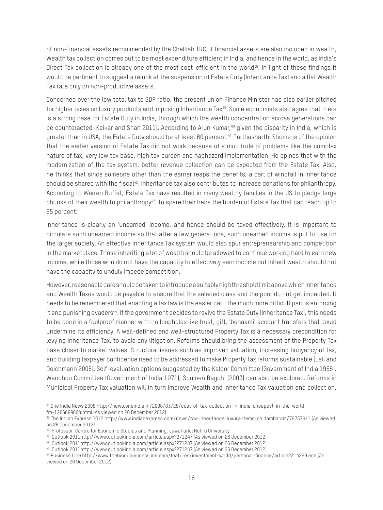of non-financial assets recommended by the Chelliah TRC. If financial assets are also included in wealth, Wealth tax collection comes out to be most expenditure efficient in India, and hence in the world, as India's Direct Tax collection is already one of the most cost-efficient in the world<sup>38</sup>. In light of these findings it would be pertinent to suggest a relook at the suspension of Estate Duty (Inheritance Tax) and a flat Wealth Tax rate only on non-productive assets.

Concerned over the low total tax to GDP ratio, the present Union Finance Minister had also earlier pitched for higher taxes on luxury products and imposing Inheritance Tax<sup>39</sup>. Some economists also agree that there is a strong case for Estate Duty in India, through which the wealth concentration across generations can be counteracted (Kelkar and Shah 2011). According to Arun Kumar,<sup>40</sup> given the disparity in India, which is greater than in USA, the Estate Duty should be at least 60 percent.<sup>41</sup> Parthasharthi Shome is of the opinion that the earlier version of Estate Tax did not work because of a multitude of problems like the complex nature of tax, very low tax base, high tax burden and haphazard implementation. He opines that with the modernization of the tax system, better revenue collection can be expected from the Estate Tax. Also, he thinks that since someone other than the earner reaps the benefits, a part of windfall in inheritance should be shared with the fiscal<sup>42</sup>. Inheritance tax also contributes to increase donations for philanthropy. According to Warren Buffet, Estate Tax have resulted in many wealthy families in the US to pledge large chunks of their wealth to philanthropy<sup>43</sup>, to spare their heirs the burden of Estate Tax that can reach up to 55 percent.

Inheritance is clearly an 'unearned' income, and hence should be taxed effectively. It is important to circulate such unearned income so that after a few generations, such unearned income is put to use for the larger society. An effective Inheritance Tax system would also spur entrepreneurship and competition in the marketplace. Those inheriting a lot of wealth should be allowed to continue working hard to earn new income, while those who do not have the capacity to effectively earn income but inherit wealth should not have the capacity to unduly impede competition.

However, reasonable care should be taken to introduce a suitably high threshold limit above which Inheritance and Wealth Taxes would be payable to ensure that the salaried class and the poor do not get impacted. It needs to be remembered that enacting a tax law is the easier part; the much more difficult part is enforcing it and punishing evaders<sup>44</sup>. If the government decides to revive the Estate Duty (Inheritance Tax), this needs to be done in a foolproof manner with no loopholes like trust, gift, 'benaami' account transfers that could undermine its efficiency. A well-defined and well-structured Property Tax is a necessary precondition for levying Inheritance Tax, to avoid any litigation. Reforms should bring the assessment of the Property Tax base closer to market values. Structural issues such as improved valuation, increasing buoyancy of tax, and building taxpayer confidence need to be addressed to make Property Tax reforms sustainable (Lall and Deichmann 2006). Self-evaluation options suggested by the Kaldor Committee (Government of India 1956), Wanchoo Committee (Government of India 1971), Soumen Bagchi (2003) can also be explored. Reforms in Municipal Property Tax valuation will in turn improve Wealth and Inheritance Tax valuation and collection,

<sup>38</sup> One India News 2008 http://news.oneindia.in/2008/03/28/cost-of-tax-collection-in-india-cheapest-in-the-worldfm-1206689604.html (As viewed on 26 December 2012)

<sup>39</sup> The Indian Express 2012 http://www.indianexpress.com/news/tax-inheritance-luxury-items-chidambaram/797376/1 (As viewed on 26 December 2012)

<sup>40</sup> Professor, Centre for Economic Studies and Planning, Jawaharlal Nehru University.

<sup>41</sup> Outlook 2011http://www.outlookindia.com/article.aspx?271247 (As viewed on 26 December 2012)

<sup>42</sup> Outlook 2011http://www.outlookindia.com/article.aspx?271247 (As viewed on 26 December 2012)

<sup>43</sup> Outlook 2011http://www.outlookindia.com/article.aspx?271247 (As viewed on 26 December 2012)

<sup>44</sup> Business Line http://www.thehindubusinessline.com/features/investment-world/personal-finance/article2214299.ece (As viewed on 26 December 2012)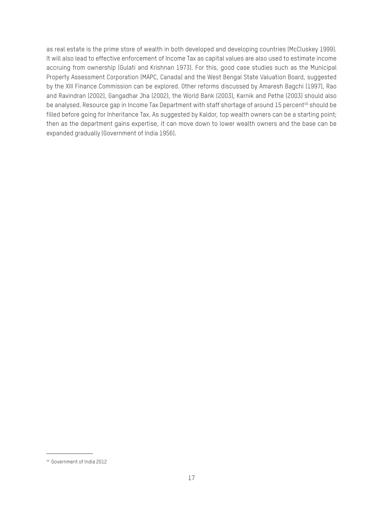as real estate is the prime store of wealth in both developed and developing countries (McCluskey 1999). It will also lead to effective enforcement of Income Tax as capital values are also used to estimate income accruing from ownership (Gulati and Krishnan 1973). For this, good case studies such as the Municipal Property Assessment Corporation (MAPC, Canada) and the West Bengal State Valuation Board, suggested by the XIII Finance Commission can be explored. Other reforms discussed by Amaresh Bagchi (1997), Rao and Ravindran (2002), Gangadhar Jha (2002), the World Bank (2003), Karnik and Pethe (2003) should also be analysed. Resource gap in Income Tax Department with staff shortage of around 15 percent<sup>45</sup> should be filled before going for Inheritance Tax. As suggested by Kaldor, top wealth owners can be a starting point; then as the department gains expertise, it can move down to lower wealth owners and the base can be expanded gradually (Government of India 1956).

<sup>45</sup> Government of India 2012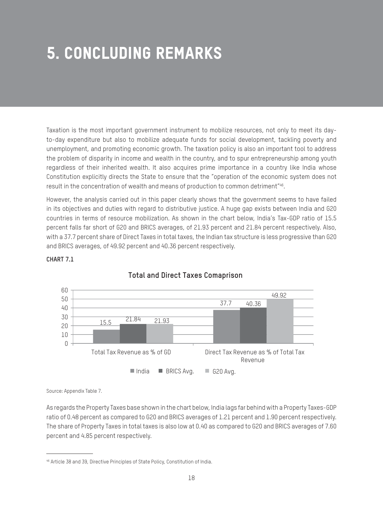# **5. Concluding Remarks**

Taxation is the most important government instrument to mobilize resources, not only to meet its dayto-day expenditure but also to mobilize adequate funds for social development, tackling poverty and unemployment, and promoting economic growth. The taxation policy is also an important tool to address the problem of disparity in income and wealth in the country, and to spur entrepreneurship among youth regardless of their inherited wealth. It also acquires prime importance in a country like India whose Constitution explicitly directs the State to ensure that the "operation of the economic system does not result in the concentration of wealth and means of production to common detriment"46.

However, the analysis carried out in this paper clearly shows that the government seems to have failed in its objectives and duties with regard to distributive justice. A huge gap exists between India and G20 countries in terms of resource mobilization. As shown in the chart below, India's Tax-GDP ratio of 15.5 percent falls far short of G20 and BRICS averages, of 21.93 percent and 21.84 percent respectively. Also, with a 37.7 percent share of Direct Taxes in total taxes, the Indian tax structure is less progressive than G20 and BRICS averages, of 49.92 percent and 40.36 percent respectively.



**Total and Direct Taxes Comaprison**

### **CHART 7.1**

Source: Appendix Table 7.

As regards the Property Taxes base shown in the chart below, India lags far behind with a Property Taxes-GDP ratio of 0.48 percent as compared to G20 and BRICS averages of 1.21 percent and 1.90 percent respectively. The share of Property Taxes in total taxes is also low at 0.40 as compared to G20 and BRICS averages of 7.60 percent and 4.85 percent respectively.

<sup>46</sup> Article 38 and 39, Directive Principles of State Policy, Constitution of India.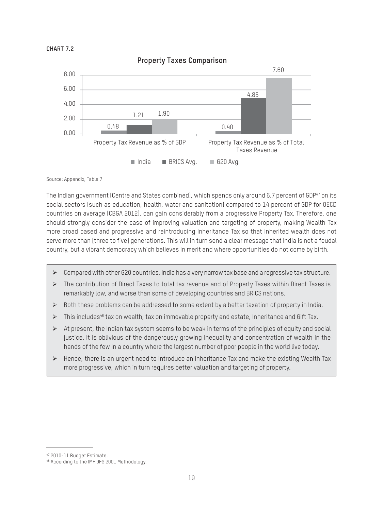



#### **Property Taxes Comparison**

Source: Appendix, Table 7

The Indian government (Centre and States combined), which spends only around 6.7 percent of GDP<sup>47</sup> on its social sectors (such as education, health, water and sanitation) compared to 14 percent of GDP for OECD countries on average (CBGA 2012), can gain considerably from a progressive Property Tax. Therefore, one should strongly consider the case of improving valuation and targeting of property, making Wealth Tax more broad based and progressive and reintroducing Inheritance Tax so that inherited wealth does not serve more than [three to five] generations. This will in turn send a clear message that India is not a feudal country, but a vibrant democracy which believes in merit and where opportunities do not come by birth.

- $\triangleright$  Compared with other G20 countries, India has a very narrow tax base and a regressive tax structure.
- $\triangleright$  The contribution of Direct Taxes to total tax revenue and of Property Taxes within Direct Taxes is remarkably low, and worse than some of developing countries and BRICS nations.
- $\triangleright$  Both these problems can be addressed to some extent by a better taxation of property in India.
- $\triangleright$  This includes<sup>48</sup> tax on wealth, tax on immovable property and estate, Inheritance and Gift Tax.
- $\triangleright$  At present, the Indian tax system seems to be weak in terms of the principles of equity and social justice. It is oblivious of the dangerously growing inequality and concentration of wealth in the hands of the few in a country where the largest number of poor people in the world live today.
- $\triangleright$  Hence, there is an urgent need to introduce an Inheritance Tax and make the existing Wealth Tax more progressive, which in turn requires better valuation and targeting of property.

<sup>47 2010-11</sup> Budget Estimate.

<sup>48</sup> According to the IMF GFS 2001 Methodology.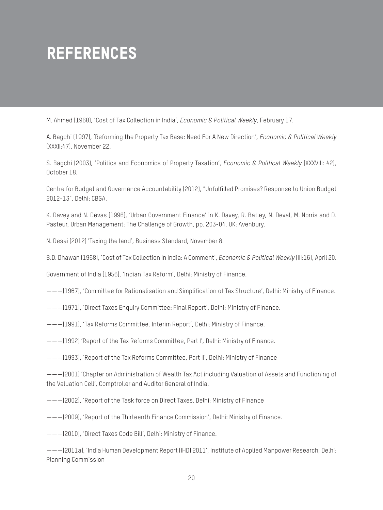# **References**

M. Ahmed (1968), 'Cost of Tax Collection in India', *Economic & Political Weekly*, February 17.

A. Bagchi (1997), 'Reforming the Property Tax Base: Need For A New Direction', *Economic & Political Weekly* (XXXII:47), November 22.

S. Bagchi (2003), 'Politics and Economics of Property Taxation', *Economic & Political Weekly* (XXXVIII: 42), October 18.

Centre for Budget and Governance Accountability (2012), "Unfulfilled Promises? Response to Union Budget 2012-13", Delhi: CBGA.

K. Davey and N. Devas (1996), 'Urban Government Finance' in K. Davey, R. Batley, N. Deval, M. Norris and D. Pasteur, Urban Management: The Challenge of Growth, pp. 203-04, UK: Avenbury.

N. Desai (2012) 'Taxing the land', Business Standard, November 8.

B.D. Dhawan (1968), 'Cost of Tax Collection in India: A Comment', *Economic & Political Weekly* (III:16), April 20.

Government of India (1956), 'Indian Tax Reform', Delhi: Ministry of Finance.

———(1967), 'Committee for Rationalisation and Simplification of Tax Structure', Delhi: Ministry of Finance.

- ———(1971), 'Direct Taxes Enquiry Committee: Final Report', Delhi: Ministry of Finance.
- ———(1991), 'Tax Reforms Committee, Interim Report', Delhi: Ministry of Finance.
- ———(1992) 'Report of the Tax Reforms Committee, Part I', Delhi: Ministry of Finance.

———(1993), 'Report of the Tax Reforms Committee, Part II', Delhi: Ministry of Finance

———(2001) 'Chapter on Administration of Wealth Tax Act including Valuation of Assets and Functioning of the Valuation Cell', Comptroller and Auditor General of India.

———(2002), 'Report of the Task force on Direct Taxes. Delhi: Ministry of Finance

———(2009), 'Report of the Thirteenth Finance Commission', Delhi: Ministry of Finance.

———(2010), 'Direct Taxes Code Bill', Delhi: Ministry of Finance.

———(2011a), 'India Human Development Report (IHD) 2011', Institute of Applied Manpower Research, Delhi: Planning Commission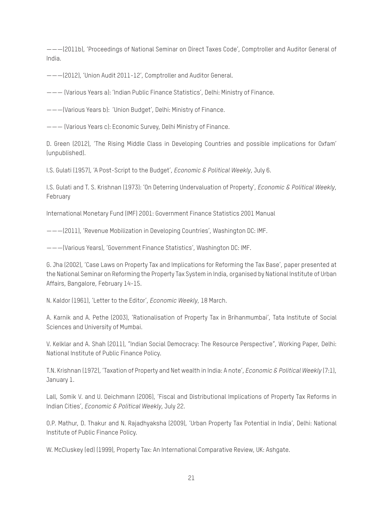———(2011b), 'Proceedings of National Seminar on Direct Taxes Code', Comptroller and Auditor General of India.

———(2012), 'Union Audit 2011-12', Comptroller and Auditor General.

——— (Various Years a): 'Indian Public Finance Statistics', Delhi: Ministry of Finance.

———(Various Years b): 'Union Budget', Delhi: Ministry of Finance.

——— (Various Years c): Economic Survey, Delhi Ministry of Finance.

D. Green (2012), 'The Rising Middle Class in Developing Countries and possible implications for Oxfam' (unpublished).

I.S. Gulati (1957), 'A Post-Script to the Budget', *Economic & Political Weekly*, July 6.

I.S. Gulati and T. S. Krishnan (1973): 'On Deterring Undervaluation of Property', *Economic & Political Weekly*, February

International Monetary Fund (IMF) 2001: Government Finance Statistics 2001 Manual

———(2011), 'Revenue Mobilization in Developing Countries', Washington DC: IMF.

———(Various Years), 'Government Finance Statistics', Washington DC: IMF.

G. Jha (2002), 'Case Laws on Property Tax and Implications for Reforming the Tax Base', paper presented at the National Seminar on Reforming the Property Tax System in India, organised by National Institute of Urban Affairs, Bangalore, February 14-15.

N. Kaldor (1961), 'Letter to the Editor', *Economic Weekly*, 18 March.

A. Karnik and A. Pethe (2003), 'Rationalisation of Property Tax in Brihanmumbai', Tata Institute of Social Sciences and University of Mumbai.

V. Kelklar and A. Shah (2011), "Indian Social Democracy: The Resource Perspective", Working Paper, Delhi: National Institute of Public Finance Policy.

T.N. Krishnan (1972), 'Taxation of Property and Net wealth in India: A note', *Economic & Political Weekly* (7:1), January 1.

Lall, Somik V. and U. Deichmann (2006), 'Fiscal and Distributional Implications of Property Tax Reforms in Indian Cities', *Economic & Political Weekly*, July 22.

O.P. Mathur, D. Thakur and N. Rajadhyaksha (2009), 'Urban Property Tax Potential in India', Delhi: National Institute of Public Finance Policy.

W. McCluskey (ed) (1999), Property Tax: An International Comparative Review, UK: Ashgate.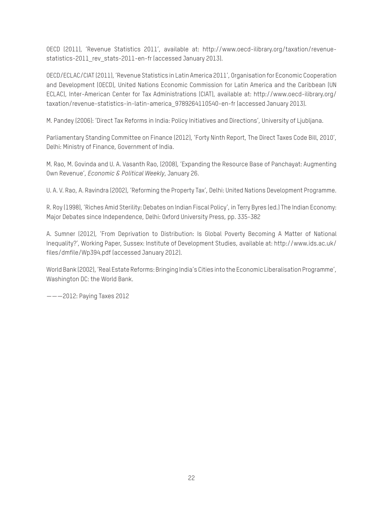OECD (2011), 'Revenue Statistics 2011', available at: http://www.oecd-ilibrary.org/taxation/revenuestatistics-2011 rev stats-2011-en-fr (accessed January 2013).

OECD/ECLAC/CIAT (2011), 'Revenue Statistics in Latin America 2011', Organisation for Economic Cooperation and Development (OECD), United Nations Economic Commission for Latin America and the Caribbean (UN ECLAC), Inter-American Center for Tax Administrations (CIAT), available at: http://www.oecd-ilibrary.org/ taxation/revenue-statistics-in-latin-america\_9789264110540-en-fr (accessed January 2013).

M. Pandey (2006): 'Direct Tax Reforms in India: Policy Initiatives and Directions', University of Ljubljana.

Parliamentary Standing Committee on Finance (2012), 'Forty Ninth Report, The Direct Taxes Code Bill, 2010', Delhi: Ministry of Finance, Government of India.

M. Rao, M. Govinda and U. A. Vasanth Rao, (2008), 'Expanding the Resource Base of Panchayat: Augmenting Own Revenue', *Economic & Political Weekly*, January 26.

U. A. V. Rao, A. Ravindra (2002), 'Reforming the Property Tax', Delhi: United Nations Development Programme.

R. Roy (1998), 'Riches Amid Sterility: Debates on Indian Fiscal Policy', in Terry Byres (ed.) The Indian Economy: Major Debates since Independence, Delhi: Oxford University Press, pp. 335-382

A. Sumner (2012), 'From Deprivation to Distribution: Is Global Poverty Becoming A Matter of National Inequality?', Working Paper, Sussex: Institute of Development Studies, available at: http://www.ids.ac.uk/ files/dmfile/Wp394.pdf (accessed January 2012).

World Bank (2002), 'Real Estate Reforms: Bringing India's Cities into the Economic Liberalisation Programme', Washington DC: the World Bank.

———2012: Paying Taxes 2012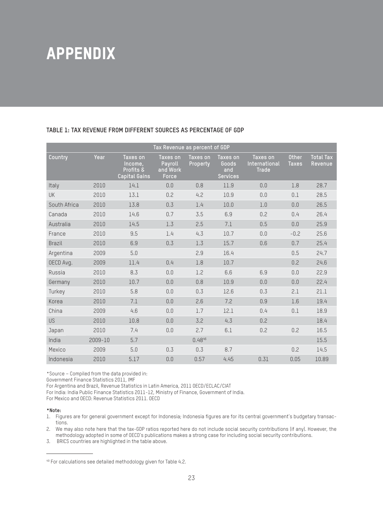# **APPENDIX**

| Tax Revenue as percent of GDP |         |                                                          |                                          |                      |                                             |                                           |                              |                             |
|-------------------------------|---------|----------------------------------------------------------|------------------------------------------|----------------------|---------------------------------------------|-------------------------------------------|------------------------------|-----------------------------|
| Country                       | Year    | Taxes on<br>Income,<br>Profits &<br><b>Capital Gains</b> | Taxes on<br>Payroll<br>and Work<br>Force | Taxes on<br>Property | Taxes on<br>Goods<br>and<br><b>Services</b> | Taxes on<br>International<br><b>Trade</b> | <b>Other</b><br><b>Taxes</b> | <b>Total Tax</b><br>Revenue |
| Italy                         | 2010    | 14.1                                                     | 0.0                                      | 0.8                  | 11.9                                        | 0.0                                       | 1.8                          | 28.7                        |
| <b>UK</b>                     | 2010    | 13.1                                                     | 0.2                                      | 4.2                  | 10.9                                        | 0.0                                       | 0.1                          | 28.5                        |
| South Africa                  | 2010    | 13.8                                                     | 0.3                                      | 1.4                  | 10.0                                        | 1.0                                       | 0.0                          | 26.5                        |
| Canada                        | 2010    | 14.6                                                     | 0.7                                      | 3.5                  | 6.9                                         | 0.2                                       | 0.4                          | 26.4                        |
| Australia                     | 2010    | 14.5                                                     | 1.3                                      | 2.5                  | 7.1                                         | 0.5                                       | 0.0                          | 25.9                        |
| France                        | 2010    | 9.5                                                      | 1.4                                      | 4.3                  | 10.7                                        | 0.0                                       | $-0.2$                       | 25.6                        |
| <b>Brazil</b>                 | 2010    | 6.9                                                      | 0.3                                      | 1.3                  | 15.7                                        | 0.6                                       | 0.7                          | 25.4                        |
| Argentina                     | 2009    | 5.0                                                      |                                          | 2.9                  | 16.4                                        |                                           | 0.5                          | 24.7                        |
| OECD Avg.                     | 2009    | 11.4                                                     | 0.4                                      | 1.8                  | 10.7                                        |                                           | 0.2                          | 24.6                        |
| Russia                        | 2010    | 8.3                                                      | 0.0                                      | 1.2                  | 6.6                                         | 6.9                                       | 0.0                          | 22.9                        |
| Germany                       | 2010    | 10.7                                                     | 0.0                                      | 0.8                  | 10.9                                        | 0.0                                       | 0.0                          | 22.4                        |
| Turkey                        | 2010    | 5.8                                                      | 0.0                                      | 0.3                  | 12.6                                        | 0.3                                       | 2.1                          | 21.1                        |
| Korea                         | 2010    | 7.1                                                      | 0.0                                      | 2.6                  | 7.2                                         | 0.9                                       | 1.6                          | 19.4                        |
| China                         | 2009    | 4.6                                                      | 0.0                                      | 1.7                  | 12.1                                        | 0.4                                       | 0.1                          | 18.9                        |
| <b>US</b>                     | 2010    | 10.8                                                     | 0.0                                      | 3.2                  | 4.3                                         | 0.2                                       |                              | 18.4                        |
| Japan                         | 2010    | 7.4                                                      | 0.0                                      | 2.7                  | 6.1                                         | 0.2                                       | 0.2                          | 16.5                        |
| India                         | 2009-10 | 5.7                                                      |                                          | 0.4846               |                                             |                                           |                              | 15.5                        |
| Mexico                        | 2009    | 5.0                                                      | 0.3                                      | 0.3                  | 8.7                                         |                                           | 0.2                          | 14.5                        |
| Indonesia                     | 2010    | 5.17                                                     | 0.0                                      | 0.57                 | 4.45                                        | 0.31                                      | 0.05                         | 10.89                       |

#### **TABLE 1: TAX REVENUE FROM DIFFERENT SOURCES AS PERCENTAGE OF GDP**

\*Source – Compiled from the data provided in:

Government Finance Statistics 2011, IMF

For Argentina and Brazil, Revenue Statistics in Latin America, 2011 OECD/ECLAC/CIAT

For India: India Public Finance Statistics 2011-12, Ministry of Finance, Government of India.

For Mexico and OECD: Revenue Statistics 2011. OECD

#### **\*Note:**

1. Figures are for general government except for Indonesia; Indonesia figures are for its central government's budgetary transactions.

2. We may also note here that the tax-GDP ratios reported here do not include social security contributions (if any). However, the methodology adopted in some of OECD's publications makes a strong case for including social security contributions.

3. BRICS countries are highlighted in the table above.

<sup>49</sup> For calculations see detailed methodology given for Table 4.2.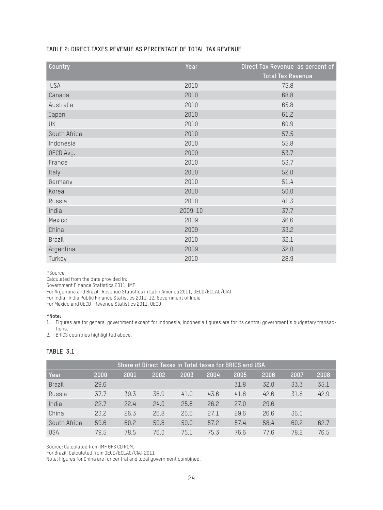#### **TABLE 2: DIRECT TAXES REVENUE AS PERCENTAGE OF TOTAL TAX REVENUE**

| Country       | Year    | Direct Tax Revenue as percent of<br><b>Total Tax Revenue</b> |
|---------------|---------|--------------------------------------------------------------|
| <b>USA</b>    | 2010    | 75.8                                                         |
| Canada        | 2010    | 68.8                                                         |
| Australia     | 2010    | 65.8                                                         |
| Japan         | 2010    | 61.2                                                         |
| UK            | 2010    | 60.9                                                         |
| South Africa  | 2010    | 57.5                                                         |
| Indonesia     | 2010    | 55.8                                                         |
| OECD Avg.     | 2009    | 53.7                                                         |
| France        | 2010    | 53.7                                                         |
| Italy         | 2010    | 52.0                                                         |
| Germany       | 2010    | 51.4                                                         |
| Korea         | 2010    | 50.0                                                         |
| Russia        | 2010    | 41.3                                                         |
| India         | 2009-10 | 37.7                                                         |
| Mexico        | 2009    | 36.6                                                         |
| China         | 2009    | 33.2                                                         |
| <b>Brazil</b> | 2010    | 32.1                                                         |
| Argentina     | 2009    | 32.0                                                         |
| Turkey        | 2010    | 28.9                                                         |

\*Source

Calculated from the data provided in:

Government Finance Statistics 2011, IMF

For Argentina and Brazil- Revenue Statistics in Latin America 2011, OECD/ECLAC/CIAT

For India- India Public Finance Statistics 2011-12, Government of India

For Mexico and OECD- Revenue Statistics 2011, OECD

#### **\*Note:**

1. Figures are for general government except for Indonesia; Indonesia figures are for its central government's budgetary transactions.

2. BRICS countries highlighted above.

#### **TABLE 3.1**

| Share of Direct Taxes in Total taxes for BRICS and USA |      |      |      |      |      |      |      |      |      |
|--------------------------------------------------------|------|------|------|------|------|------|------|------|------|
| Year                                                   | 2000 | 2001 | 2002 | 2003 | 2004 | 2005 | 2006 | 2007 | 2008 |
| <b>Brazil</b>                                          | 29.6 |      |      |      |      | 31.8 | 32.0 | 33.3 | 35.1 |
| Russia                                                 | 37.7 | 39.3 | 38.9 | 41.0 | 43.6 | 41.6 | 42.6 | 31.8 | 42.9 |
| India                                                  | 22.7 | 22.4 | 24.0 | 25.8 | 26.2 | 27.0 | 29.6 |      |      |
| China                                                  | 23.2 | 26.3 | 26.8 | 26.6 | 27.1 | 29.6 | 26.6 | 36.0 |      |
| South Africa                                           | 59.6 | 60.2 | 59.8 | 59.0 | 57.2 | 57.4 | 58.4 | 60.2 | 62.7 |
| <b>USA</b>                                             | 79.5 | 78.5 | 76.0 | 75.1 | 75.3 | 76.6 | 77.6 | 78.2 | 76.5 |

Source: Calculated from IMF GFS CD ROM.

For Brazil: Calculated from OECD/ECLAC/CIAT 2011

Note: Figures for China are for central and local government combined.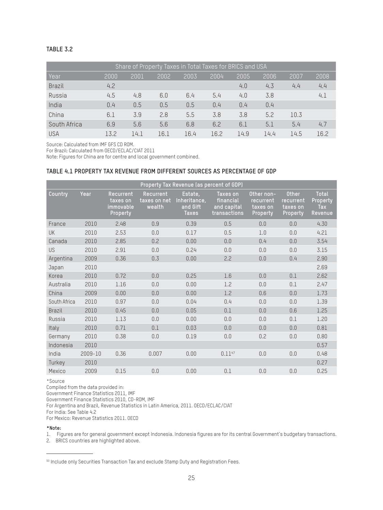#### **TABLE 3.2**

| Share of Property Taxes in Total Taxes for BRICS and USA |      |      |      |      |      |      |      |      |      |
|----------------------------------------------------------|------|------|------|------|------|------|------|------|------|
| Year                                                     | 2000 | 2001 | 2002 | 2003 | 2004 | 2005 | 2006 | 2007 | 2008 |
| <b>Brazil</b>                                            | 4.2  |      |      |      |      | 4.0  | 4.3  | 4.4  | 4.4  |
| Russia                                                   | 4.5  | 4.8  | 6.0  | 6.4  | 5.4  | 4.0  | 3.8  |      | 4.1  |
| India                                                    | 0.4  | 0.5  | 0.5  | 0.5  | 0.4  | 0.4  | 0.4  |      |      |
| China                                                    | 6.1  | 3.9  | 2.8  | 5.5  | 3.8  | 3.8  | 5.2  | 10.3 |      |
| South Africa                                             | 6.9  | 5.6  | 5.6  | 6.8  | 6.2  | 6.1  | 5.1  | 5.4  | 4.7  |
| <b>USA</b>                                               | 13.2 | 14.1 | 16.1 | 16.4 | 16.2 | 14.9 | 14.4 | 14.5 | 16.2 |

Source: Calculated from IMF GFS CD ROM.

For Brazil: Calculated from OECD/ECLAC/CIAT 2011

Note: Figures for China are for centre and local government combined.

#### **TABLE 4.1 PROPERTY TAX REVENUE FROM DIFFERENT SOURCES AS PERCENTAGE OF GDP**

|               | Property Tax Revenue (as percent of GDP) |                                                |                                     |                                                     |                                                      |                                                        |                                                   |                                     |  |  |
|---------------|------------------------------------------|------------------------------------------------|-------------------------------------|-----------------------------------------------------|------------------------------------------------------|--------------------------------------------------------|---------------------------------------------------|-------------------------------------|--|--|
| Country       | Year                                     | Recurrent<br>taxes on<br>immovable<br>Property | Recurrent<br>taxes on net<br>wealth | Estate,<br>Inheritance,<br>and Gift<br><b>Taxes</b> | Taxes on<br>financial<br>and capital<br>transactions | Other non-<br>recurrent<br>taxes on<br><b>Property</b> | <b>Other</b><br>recurrent<br>taxes on<br>Property | Total<br>Property<br>Tax<br>Revenue |  |  |
| France        | 2010                                     | 2.48                                           | 0.9                                 | 0.39                                                | 0.5                                                  | 0.0                                                    | 0.0                                               | 4.30                                |  |  |
| <b>UK</b>     | 2010                                     | 2.53                                           | 0.0                                 | 0.17                                                | 0.5                                                  | 1.0                                                    | 0.0                                               | 4.21                                |  |  |
| Canada        | 2010                                     | 2.85                                           | 0.2                                 | 0.00                                                | 0.0                                                  | 0.4                                                    | 0.0                                               | 3.54                                |  |  |
| <b>US</b>     | 2010                                     | 2.91                                           | 0.0                                 | 0.24                                                | 0.0                                                  | 0.0                                                    | 0.0                                               | 3.15                                |  |  |
| Argentina     | 2009                                     | 0.36                                           | 0.3                                 | 0.00                                                | 2.2                                                  | 0.0                                                    | 0.4                                               | 2.90                                |  |  |
| Japan         | 2010                                     |                                                |                                     |                                                     |                                                      |                                                        |                                                   | 2.69                                |  |  |
| Korea         | 2010                                     | 0.72                                           | 0.0                                 | 0.25                                                | 1.6                                                  | 0.0                                                    | 0.1                                               | 2.62                                |  |  |
| Australia     | 2010                                     | 1.16                                           | 0.0                                 | 0.00                                                | 1.2                                                  | 0.0                                                    | 0.1                                               | 2.47                                |  |  |
| China         | 2009                                     | 0.00                                           | 0.0                                 | 0.00                                                | 1.2                                                  | 0.6                                                    | 0.0                                               | 1.73                                |  |  |
| South Africa  | 2010                                     | 0.97                                           | 0.0                                 | 0.04                                                | 0.4                                                  | 0.0                                                    | 0.0                                               | 1.39                                |  |  |
| <b>Brazil</b> | 2010                                     | 0.45                                           | 0.0                                 | 0.05                                                | 0.1                                                  | 0.0                                                    | 0.6                                               | 1.25                                |  |  |
| Russia        | 2010                                     | 1.13                                           | 0.0                                 | 0.00                                                | 0.0                                                  | 0.0                                                    | 0.1                                               | 1.20                                |  |  |
| Italy         | 2010                                     | 0.71                                           | 0.1                                 | 0.03                                                | 0.0                                                  | 0.0                                                    | 0.0                                               | 0.81                                |  |  |
| Germany       | 2010                                     | 0.38                                           | 0.0                                 | 0.19                                                | 0.0                                                  | 0.2                                                    | 0.0                                               | 0.80                                |  |  |
| Indonesia     | 2010                                     |                                                |                                     |                                                     |                                                      |                                                        |                                                   | 0.57                                |  |  |
| India         | 2009-10                                  | 0.36                                           | 0.007                               | 0.00                                                | 0.1147                                               | 0.0                                                    | 0.0                                               | 0.48                                |  |  |
| Turkey        | 2010                                     |                                                |                                     |                                                     |                                                      |                                                        |                                                   | 0.27                                |  |  |
| Mexico        | 2009                                     | 0.15                                           | 0.0                                 | 0.00                                                | 0.1                                                  | 0.0                                                    | 0.0                                               | 0.25                                |  |  |
|               |                                          |                                                |                                     |                                                     |                                                      |                                                        |                                                   |                                     |  |  |

\*Source

Compiled from the data provided in:

Government Finance Statistics 2011, IMF

Government Finance Statistics 2010, CD-ROM, IMF

For Argentina and Brazil, Revenue Statistics in Latin America, 2011. OECD/ECLAC/CIAT

For India: See Table 4.2

For Mexico: Revenue Statistics 2011. OECD

#### **\*Note:**

1. Figures are for general government except Indonesia. Indonesia figures are for its central Government's budgetary transactions.

2. BRICS countries are highlighted above.

<sup>50</sup> Include only Securities Transaction Tax and exclude Stamp Duty and Registration Fees.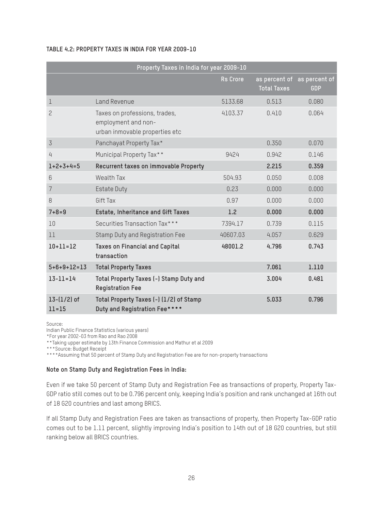#### **TABLE 4.2: PROPERTY TAXES IN INDIA FOR YEAR 2009-10**

|                              | Property Taxes in India for year 2009-10                                               |                 |                    |                                           |
|------------------------------|----------------------------------------------------------------------------------------|-----------------|--------------------|-------------------------------------------|
|                              |                                                                                        | <b>Rs</b> Crore | <b>Total Taxes</b> | as percent of as percent of<br><b>GDP</b> |
| 1                            | Land Revenue                                                                           | 5133.68         | 0.513              | 0.080                                     |
| 2                            | Taxes on professions, trades,<br>employment and non-<br>urban inmovable properties etc | 4103.37         | 0.410              | 0.064                                     |
| $\overline{3}$               | Panchayat Property Tax*                                                                |                 | 0.350              | 0.070                                     |
| 4                            | Municipal Property Tax**                                                               | 9424            | 0.942              | 0.146                                     |
| $1+2+3+4=5$                  | Recurrent taxes on immovable Property                                                  |                 | 2.215              | 0.359                                     |
| 6                            | Wealth Tax                                                                             | 504.93          | 0.050              | 0.008                                     |
| $\overline{7}$               | <b>Estate Duty</b>                                                                     | 0.23            | 0.000              | 0.000                                     |
| 8                            | Gift Tax                                                                               | 0.97            | 0.000              | 0.000                                     |
| $7 + 8 = 9$                  | Estate, Inheritance and Gift Taxes                                                     | 1.2             | 0.000              | 0.000                                     |
| 10                           | Securities Transaction Tax***                                                          | 7394.17         | 0.739              | 0.115                                     |
| 11                           | Stamp Duty and Registration Fee                                                        | 40607.03        | 4.057              | 0.629                                     |
| $10 + 11 = 12$               | <b>Taxes on Financial and Capital</b><br>transaction                                   | 48001.2         | 4.796              | 0.743                                     |
| $5+6+9+12=13$                | <b>Total Property Taxes</b>                                                            |                 | 7.061              | 1.110                                     |
| $13 - 11 = 14$               | Total Property Taxes (-) Stamp Duty and<br><b>Registration Fee</b>                     |                 | 3.004              | 0.481                                     |
| $13 - (1/2)$ of<br>$11 = 15$ | Total Property Taxes (-) (1/2) of Stamp<br>Duty and Registration Fee****               |                 | 5.033              | 0.796                                     |

Source:

Indian Public Finance Statistics (various years)

\*For year 2002-03 from Rao and Rao 2008

\*\*Taking upper estimate by 13th Finance Commission and Mathur et al 2009

\*\*\*Source: Budget Receipt

\*\*\*\*Assuming that 50 percent of Stamp Duty and Registration Fee are for non-property transactions

#### **Note on Stamp Duty and Registration Fees in India:**

Even if we take 50 percent of Stamp Duty and Registration Fee as transactions of property, Property Tax-GDP ratio still comes out to be 0.796 percent only, keeping India's position and rank unchanged at 16th out of 18 G20 countries and last among BRICS.

If all Stamp Duty and Registration Fees are taken as transactions of property, then Property Tax-GDP ratio comes out to be 1.11 percent, slightly improving India's position to 14th out of 18 G20 countries, but still ranking below all BRICS countries.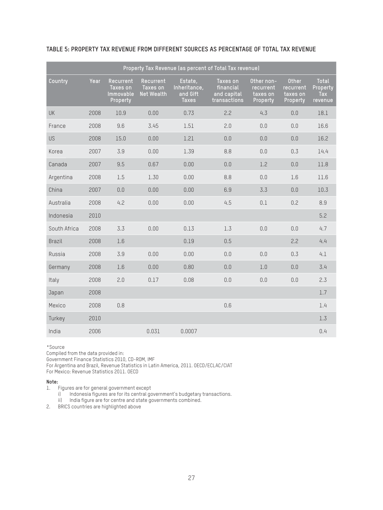|               | Property Tax Revenue (as percent of Total Tax revenue) |                                                |                                                   |                                                     |                                                      |                                                 |                                            |                                            |  |
|---------------|--------------------------------------------------------|------------------------------------------------|---------------------------------------------------|-----------------------------------------------------|------------------------------------------------------|-------------------------------------------------|--------------------------------------------|--------------------------------------------|--|
| Country       | Year                                                   | Recurrent<br>Taxes on<br>Immovable<br>Property | <b>Recurrent</b><br>Taxes on<br><b>Net Wealth</b> | Estate,<br>Inheritance,<br>and Gift<br><b>Taxes</b> | Taxes on<br>financial<br>and capital<br>transactions | Other non-<br>recurrent<br>taxes on<br>Property | Other<br>recurrent<br>taxes on<br>Property | <b>Total</b><br>Property<br>Tax<br>revenue |  |
| UK            | 2008                                                   | 10.9                                           | 0.00                                              | 0.73                                                | 2.2                                                  | 4.3                                             | 0.0                                        | 18.1                                       |  |
| France        | 2008                                                   | 9.6                                            | 3.45                                              | 1.51                                                | 2.0                                                  | 0.0                                             | 0.0                                        | 16.6                                       |  |
| <b>US</b>     | 2008                                                   | 15.0                                           | 0.00                                              | 1.21                                                | 0.0                                                  | 0.0                                             | 0.0                                        | 16.2                                       |  |
| Korea         | 2007                                                   | 3.9                                            | 0.00                                              | 1.39                                                | 8.8                                                  | 0.0                                             | 0.3                                        | 14.4                                       |  |
| Canada        | 2007                                                   | 9.5                                            | 0.67                                              | 0.00                                                | 0.0                                                  | 1.2                                             | 0.0                                        | 11.8                                       |  |
| Argentina     | 2008                                                   | 1.5                                            | 1.30                                              | 0.00                                                | 8.8                                                  | 0.0                                             | 1.6                                        | 11.6                                       |  |
| China         | 2007                                                   | 0.0                                            | 0.00                                              | 0.00                                                | 6.9                                                  | 3.3                                             | 0.0                                        | 10.3                                       |  |
| Australia     | 2008                                                   | 4.2                                            | 0.00                                              | 0.00                                                | 4.5                                                  | 0.1                                             | 0.2                                        | 8.9                                        |  |
| Indonesia     | 2010                                                   |                                                |                                                   |                                                     |                                                      |                                                 |                                            | 5.2                                        |  |
| South Africa  | 2008                                                   | 3.3                                            | 0.00                                              | 0.13                                                | 1.3                                                  | 0.0                                             | 0.0                                        | 4.7                                        |  |
| <b>Brazil</b> | 2008                                                   | 1.6                                            |                                                   | 0.19                                                | 0.5                                                  |                                                 | 2.2                                        | 4.4                                        |  |
| Russia        | 2008                                                   | 3.9                                            | 0.00                                              | 0.00                                                | 0.0                                                  | 0.0                                             | 0.3                                        | 4.1                                        |  |
| Germany       | 2008                                                   | 1.6                                            | 0.00                                              | 0.80                                                | 0.0                                                  | 1.0                                             | 0.0                                        | 3.4                                        |  |
| Italy         | 2008                                                   | 2.0                                            | 0.17                                              | 0.08                                                | 0.0                                                  | 0.0                                             | 0.0                                        | 2.3                                        |  |
| Japan         | 2008                                                   |                                                |                                                   |                                                     |                                                      |                                                 |                                            | 1.7                                        |  |
| Mexico        | 2008                                                   | 0.8                                            |                                                   |                                                     | 0.6                                                  |                                                 |                                            | 1.4                                        |  |
| Turkey        | 2010                                                   |                                                |                                                   |                                                     |                                                      |                                                 |                                            | 1.3                                        |  |
| India         | 2006                                                   |                                                | 0.031                                             | 0.0007                                              |                                                      |                                                 |                                            | 0.4                                        |  |

#### **TABLE 5: PROPERTY TAX REVENUE FROM DIFFERENT SOURCES AS PERCENTAGE OF TOTAL TAX REVENUE**

\*Source

Compiled from the data provided in:

Government Finance Statistics 2010, CD-ROM, IMF

For Argentina and Brazil, Revenue Statistics in Latin America, 2011. OECD/ECLAC/CIAT

For Mexico: Revenue Statistics 2011. OECD

#### **Note:**

1. Figures are for general government except

i) Indonesia figures are for its central government's budgetary transactions.

ii) India figure are for centre and state governments combined.

2. BRICS countries are highlighted above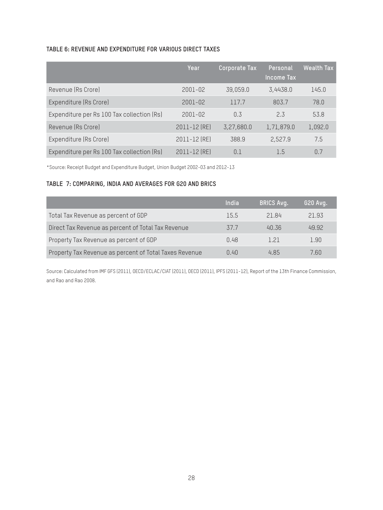#### **TABLE 6: REVENUE AND EXPENDITURE FOR VARIOUS DIRECT TAXES**

|                                            | Year         | Corporate Tax | Personal<br><b>Income Tax</b> | <b>Wealth Tax</b> |
|--------------------------------------------|--------------|---------------|-------------------------------|-------------------|
| Revenue (Rs Crore)                         | $2001 - 02$  | 39,059.0      | 3,4438.0                      | 145.0             |
| Expenditure (Rs Crore)                     | 2001-02      | 117.7         | 803.7                         | 78.0              |
| Expenditure per Rs 100 Tax collection (Rs) | $2001 - 02$  | 0.3           | 2.3                           | 53.8              |
| Revenue (Rs Crore)                         | 2011-12 (RE) | 3,27,680.0    | 1,71,879.0                    | 1,092.0           |
| Expenditure (Rs Crore)                     | 2011-12 (RE) | 388.9         | 2,527.9                       | 7.5               |
| Expenditure per Rs 100 Tax collection (Rs) | 2011-12 (RE) | 0.1           | 1.5                           | 0.7               |

\*Source: Receipt Budget and Expenditure Budget, Union Budget 2002-03 and 2012-13

#### **TABLE 7: COMPARING, INDIA AND AVERAGES FOR G20 AND BRICS**

|                                                        | India | <b>BRICS Avg.</b> | 620 Avg. |
|--------------------------------------------------------|-------|-------------------|----------|
| Total Tax Revenue as percent of GDP                    | 15.5  | 2184              | 21.93    |
| Direct Tax Revenue as percent of Total Tax Revenue     | 37.7  | 40.36             | 49.92    |
| Property Tax Revenue as percent of GDP                 | 0.48  | 121               | 1.90     |
| Property Tax Revenue as percent of Total Taxes Revenue | 0.40  | 485               | 7 RN     |

Source: Calculated from IMF GFS (2011), OECD/ECLAC/CIAT (2011), OECD (2011), IPFS (2011-12), Report of the 13th Finance Commission, and Rao and Rao 2008.